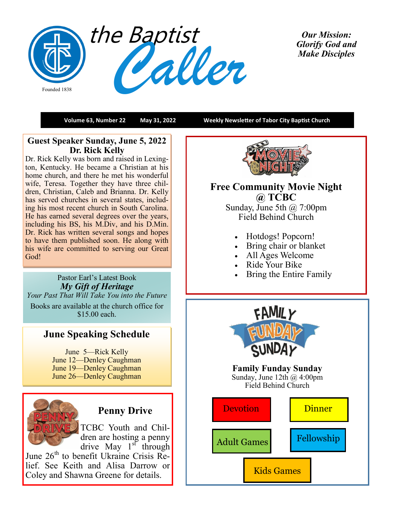

*Our Mission: Glorify God and Make Disciples* 

**Volume 63, Number 22 May 31, 2022 Weekly Newsletter of Tabor City Baptist Church**

## **Guest Speaker Sunday, June 5, 2022 Dr. Rick Kelly**

Dr. Rick Kelly was born and raised in Lexington, Kentucky. He became a Christian at his home church, and there he met his wonderful wife, Teresa. Together they have three children, Christian, Caleb and Brianna. Dr. Kelly has served churches in several states, including his most recent church in South Carolina. He has earned several degrees over the years, including his BS, his M.Div, and his D.Min. Dr. Rick has written several songs and hopes to have them published soon. He along with his wife are committed to serving our Great God!

### Pastor Earl's Latest Book *My Gift of Heritage*

*Your Past That Will Take You into the Future* Books are available at the church office for \$15.00 each.

# **June Speaking Schedule**

June 5—Rick Kelly June 12—Denley Caughman June 19—Denley Caughman June 26—Denley Caughman



# **Penny Drive**

TCBC Youth and Children are hosting a penny drive May  $1^{s^2}$  through

June  $26<sup>th</sup>$  to benefit Ukraine Crisis Relief. See Keith and Alisa Darrow or Coley and Shawna Greene for details.



# **Free Community Movie Night @ TCBC** Sunday, June 5th  $\omega$  7:00pm

Field Behind Church

- Hotdogs! Popcorn!
- Bring chair or blanket
- All Ages Welcome
- Ride Your Bike
- Bring the Entire Family



Fellowship

Kids Games

Adult Games